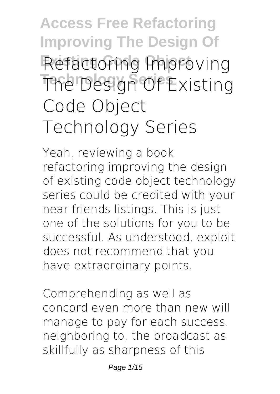# **Access Free Refactoring Improving The Design Of Refactoring Improving The Design Of Existing Code Object Technology Series**

Yeah, reviewing a book **refactoring improving the design of existing code object technology series** could be credited with your near friends listings. This is just one of the solutions for you to be successful. As understood, exploit does not recommend that you have extraordinary points.

Comprehending as well as concord even more than new will manage to pay for each success. neighboring to, the broadcast as skillfully as sharpness of this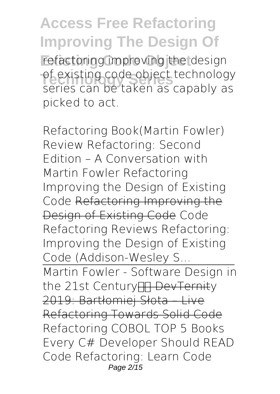refactoring improving the design of existing code object technology<br>Carios san be taken as sanably as series can be taken as capably as picked to act.

*Refactoring Book(Martin Fowler) Review Refactoring: Second Edition – A Conversation with Martin Fowler Refactoring Improving the Design of Existing Code* Refactoring Improving the Design of Existing Code **Code Refactoring Reviews Refactoring: Improving the Design of Existing Code (Addison-Wesley S...** Martin Fowler - Software Design in the 21st Century HH DevTernity 2019: Bartłomiej Słota – Live Refactoring Towards Solid Code *Refactoring COBOL TOP 5 Books Every C# Developer Should READ Code Refactoring: Learn Code* Page 2/15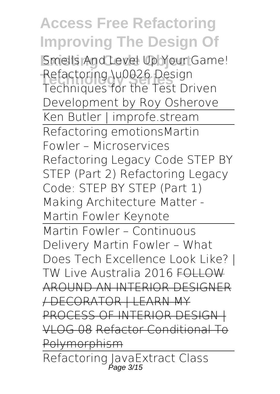**Existing Code Object** *Smells And Level Up Your Game!* **Technology Series** *Refactoring \u0026 Design Techniques for the Test Driven Development by Roy Osherove* Ken Butler | improfe.stream Refactoring emotions*Martin Fowler – Microservices* **Refactoring Legacy Code STEP BY STEP (Part 2) Refactoring Legacy Code: STEP BY STEP (Part 1)** *Making Architecture Matter - Martin Fowler Keynote* Martin Fowler – Continuous Delivery Martin Fowler – What Does Tech Excellence Look Like? | TW Live Australia 2016 FOLLOW AROUND AN INTERIOR DESIGNER / DECORATOR | LEARN MY PROCESS OF INTERIOR DESIGN | VLOG 08 Refactor Conditional To Polymorphism Refactoring Java*Extract Class* Page 3/15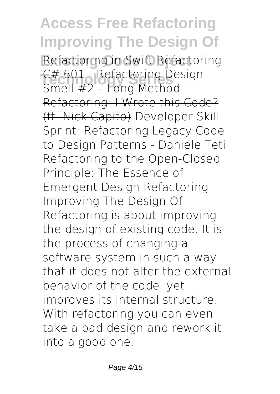**Existing Code Object** *Refactoring in Swift Refactoring* **Technology Series** *C# 601 - Refactoring Design Smell #2 – Long Method* Refactoring: I Wrote this Code? (ft. Nick Capito) *Developer Skill Sprint: Refactoring Legacy Code to Design Patterns - Daniele Teti Refactoring to the Open-Closed Principle: The Essence of Emergent Design* Refactoring Improving The Design Of Refactoring is about improving the design of existing code. It is the process of changing a software system in such a way that it does not alter the external behavior of the code, yet improves its internal structure. With refactoring you can even take a bad design and rework it into a good one.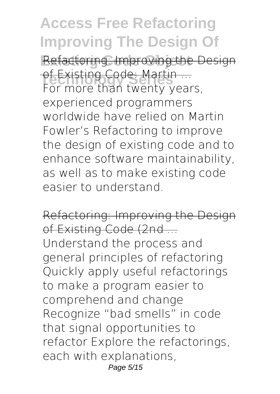Refactoring: Improving the Design of Existing Code: Martin ...<br>Fer mere than twenty year For more than twenty years, experienced programmers worldwide have relied on Martin Fowler's Refactoring to improve the design of existing code and to enhance software maintainability, as well as to make existing code easier to understand.

Refactoring: Improving the Design of Existing Code (2nd ...

Understand the process and general principles of refactoring Quickly apply useful refactorings to make a program easier to comprehend and change Recognize "bad smells" in code that signal opportunities to refactor Explore the refactorings, each with explanations, Page 5/15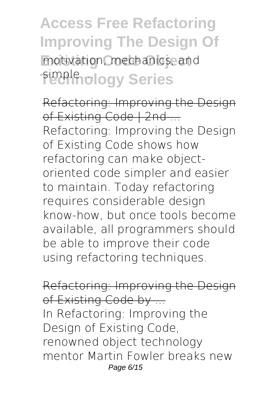## **Access Free Refactoring Improving The Design Of** motivation, mechanics, and **Fimple ...**<br> **Simple ...**<br> **Simple ...**<br> **Simple ...**<br> **Simple ...**<br> **Simple ...**<br> **Simple ...**<br> **Simple ...**

Refactoring: Improving the Design of Existing Code | 2nd ... Refactoring: Improving the Design of Existing Code shows how refactoring can make objectoriented code simpler and easier to maintain. Today refactoring requires considerable design know-how, but once tools become available, all programmers should be able to improve their code using refactoring techniques.

Refactoring: Improving the Design of Existing Code by ... In Refactoring: Improving the Design of Existing Code, renowned object technology mentor Martin Fowler breaks new Page 6/15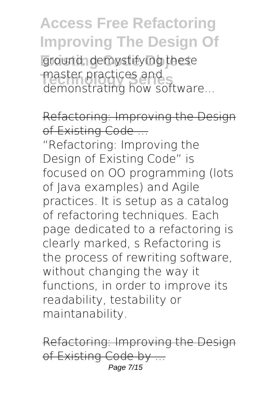ground, demystifying these master practices and<br>demonstrating how sets demonstrating how software...

Refactoring: Improving the De of Existing Code ...

"Refactoring: Improving the Design of Existing Code" is focused on OO programming (lots of Java examples) and Agile practices. It is setup as a catalog of refactoring techniques. Each page dedicated to a refactoring is clearly marked, s Refactoring is the process of rewriting software, without changing the way it functions, in order to improve its readability, testability or maintanability.

Refactoring: Improving the Design of Existing Code by ... Page 7/15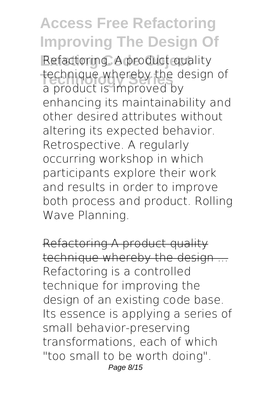Refactoring. A product quality technique whereby the design of a product is improved by enhancing its maintainability and other desired attributes without altering its expected behavior. Retrospective. A regularly occurring workshop in which participants explore their work and results in order to improve both process and product. Rolling Wave Planning.

Refactoring A product quality technique whereby the design ... Refactoring is a controlled technique for improving the design of an existing code base. Its essence is applying a series of small behavior-preserving transformations, each of which "too small to be worth doing". Page 8/15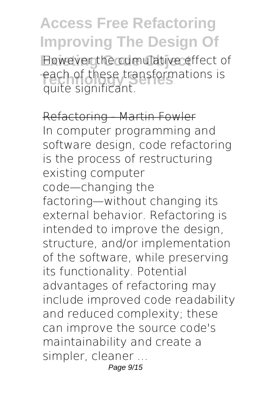However the cumulative effect of each of these transformations is quite significant.

Refactoring - Martin Fowler In computer programming and software design, code refactoring is the process of restructuring existing computer code—changing the factoring—without changing its external behavior. Refactoring is intended to improve the design, structure, and/or implementation of the software, while preserving its functionality. Potential advantages of refactoring may include improved code readability and reduced complexity; these can improve the source code's maintainability and create a simpler, cleaner ... Page 9/15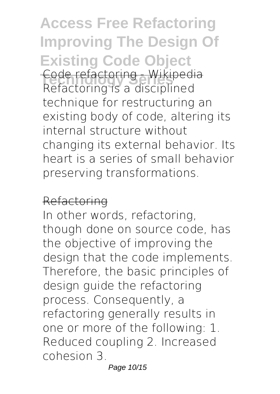**Access Free Refactoring Improving The Design Of Existing Code Object Technology Series** Code refactoring - Wikipedia Refactoring is a disciplined technique for restructuring an existing body of code, altering its internal structure without changing its external behavior. Its heart is a series of small behavior preserving transformations.

#### Refactoring

In other words, refactoring, though done on source code, has the objective of improving the design that the code implements. Therefore, the basic principles of design guide the refactoring process. Consequently, a refactoring generally results in one or more of the following: 1. Reduced coupling 2. Increased cohesion 3.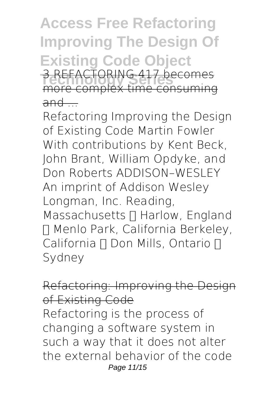**Access Free Refactoring Improving The Design Of Existing Code Object 3 REFACTORING 417 becomes** more complex time consuming  $and$ 

Refactoring Improving the Design of Existing Code Martin Fowler With contributions by Kent Beck, John Brant, William Opdyke, and Don Roberts ADDISON–WESLEY An imprint of Addison Wesley Longman, Inc. Reading, Massachusetts [] Harlow, England • Menlo Park, California Berkeley, California  $\P$  Don Mills, Ontario  $\P$ Sydney

#### Refactoring: Improving the Des of Existing Code

Refactoring is the process of changing a software system in such a way that it does not alter the external behavior of the code Page 11/15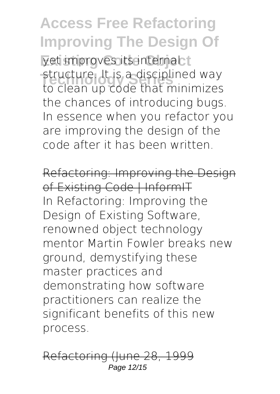yet improves its internal t structure. It is a disciplined way to clean up code that minimizes the chances of introducing bugs. In essence when you refactor you are improving the design of the code after it has been written.

Refactoring: Improving the Design of Existing Code | InformIT In Refactoring: Improving the Design of Existing Software, renowned object technology mentor Martin Fowler breaks new ground, demystifying these master practices and demonstrating how software practitioners can realize the significant benefits of this new process.

Refactoring (June 28, 1999 Page 12/15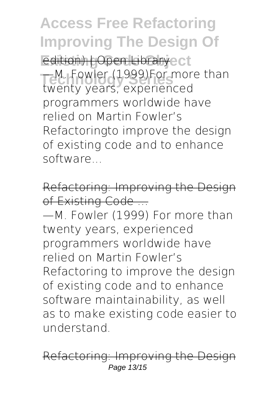**Access Free Refactoring Improving The Design Of Edition) | Open Libraryect —M. Fowler (1999)For more than** twenty years, experienced programmers worldwide have relied on Martin Fowler's Refactoringto improve the design of existing code and to enhance software...

Refactoring: Improving the Design of Existing Code ... —M. Fowler (1999) For more than twenty years, experienced programmers worldwide have relied on Martin Fowler's Refactoring to improve the design of existing code and to enhance software maintainability, as well as to make existing code easier to understand.

Refactoring: Improving the Page 13/15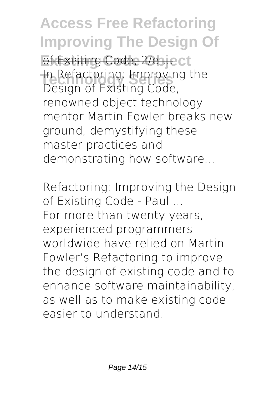**Access Free Refactoring Improving The Design Of** of Existing Code, 2/e ... ect In Refactoring: Improving the Design of Existing Code, renowned object technology mentor Martin Fowler breaks new ground, demystifying these master practices and demonstrating how software...

Refactoring: Improving the Design of Existing Code - Paul ... For more than twenty years, experienced programmers worldwide have relied on Martin Fowler's Refactoring to improve the design of existing code and to enhance software maintainability, as well as to make existing code easier to understand.